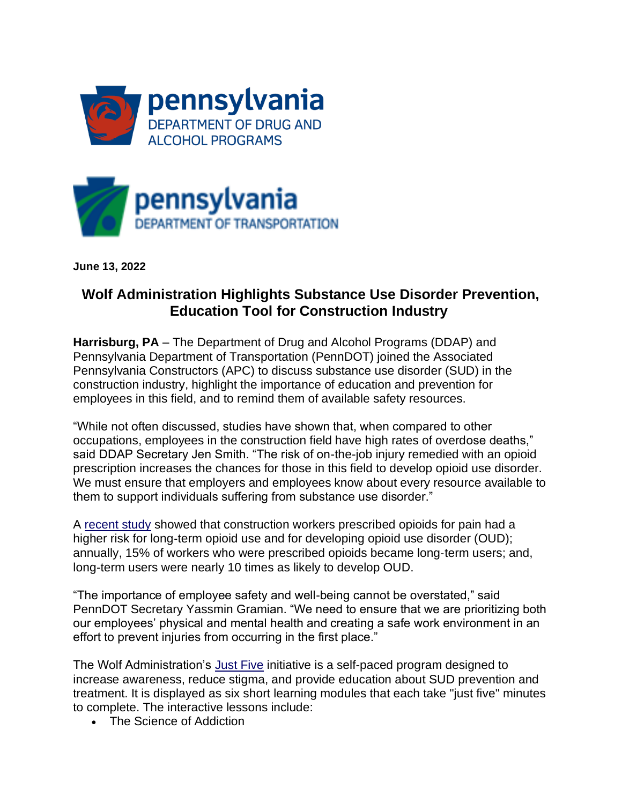



**June 13, 2022**

## **Wolf Administration Highlights Substance Use Disorder Prevention, Education Tool for Construction Industry**

**Harrisburg, PA** – The Department of Drug and Alcohol Programs (DDAP) and Pennsylvania Department of Transportation (PennDOT) joined the Associated Pennsylvania Constructors (APC) to discuss substance use disorder (SUD) in the construction industry, highlight the importance of education and prevention for employees in this field, and to remind them of available safety resources.

"While not often discussed, studies have shown that, when compared to other occupations, employees in the construction field have high rates of overdose deaths," said DDAP Secretary Jen Smith. "The risk of on-the-job injury remedied with an opioid prescription increases the chances for those in this field to develop opioid use disorder. We must ensure that employers and employees know about every resource available to them to support individuals suffering from substance use disorder."

A [recent study](https://blogs.cdc.gov/niosh-science-blog/2021/09/14/opioids-in-construction/) showed that construction workers prescribed opioids for pain had a higher risk for long-term opioid use and for developing opioid use disorder (OUD); annually, 15% of workers who were prescribed opioids became long‐term users; and, long-term users were nearly 10 times as likely to develop OUD.

"The importance of employee safety and well-being cannot be overstated," said PennDOT Secretary Yassmin Gramian. "We need to ensure that we are prioritizing both our employees' physical and mental health and creating a safe work environment in an effort to prevent injuries from occurring in the first place."

The Wolf Administration's [Just Five](https://justfive.org/pa-workforce/) initiative is a self-paced program designed to increase awareness, reduce stigma, and provide education about SUD prevention and treatment. It is displayed as six short learning modules that each take "just five" minutes to complete. The interactive lessons include:

• The Science of Addiction